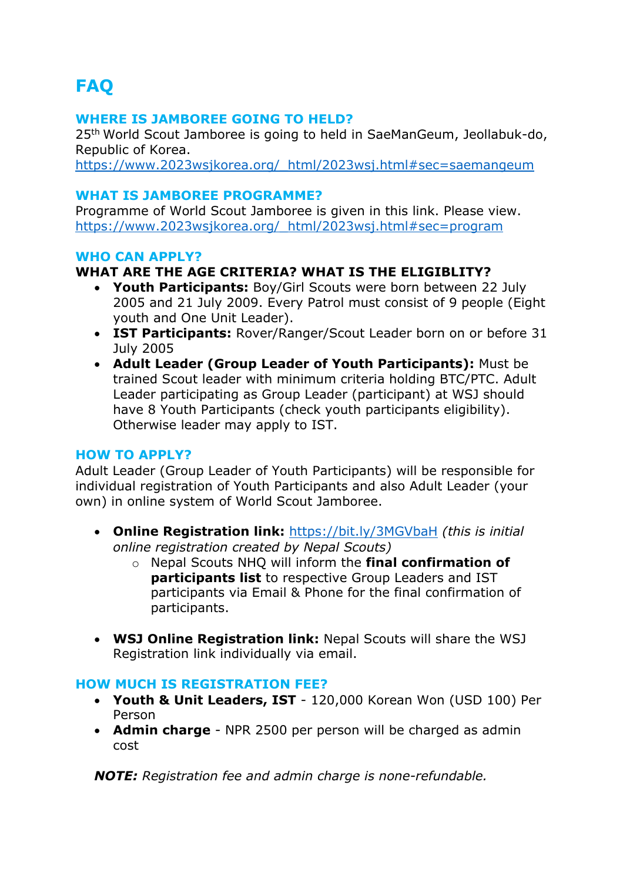# **FAQ**

#### **WHERE IS JAMBOREE GOING TO HELD?**

25th World Scout Jamboree is going to held in SaeManGeum, Jeollabuk-do, Republic of Korea.

https://www.2023wsjkorea.org/\_html/2023wsj.html#sec=saemangeum

#### **WHAT IS JAMBOREE PROGRAMME?**

Programme of World Scout Jamboree is given in this link. Please view. https://www.2023wsjkorea.org/\_html/2023wsj.html#sec=program

#### **WHO CAN APPLY?**

# **WHAT ARE THE AGE CRITERIA? WHAT IS THE ELIGIBLITY?**

- **Youth Participants:** Boy/Girl Scouts were born between 22 July 2005 and 21 July 2009. Every Patrol must consist of 9 people (Eight youth and One Unit Leader).
- **IST Participants:** Rover/Ranger/Scout Leader born on or before 31 July 2005
- **Adult Leader (Group Leader of Youth Participants):** Must be trained Scout leader with minimum criteria holding BTC/PTC. Adult Leader participating as Group Leader (participant) at WSJ should have 8 Youth Participants (check youth participants eligibility). Otherwise leader may apply to IST.

#### **HOW TO APPLY?**

Adult Leader (Group Leader of Youth Participants) will be responsible for individual registration of Youth Participants and also Adult Leader (your own) in online system of World Scout Jamboree.

- **Online Registration link:** https://bit.ly/3MGVbaH *(this is initial online registration created by Nepal Scouts)*
	- o Nepal Scouts NHQ will inform the **final confirmation of participants list** to respective Group Leaders and IST participants via Email & Phone for the final confirmation of participants.
- **WSJ Online Registration link:** Nepal Scouts will share the WSJ Registration link individually via email.

#### **HOW MUCH IS REGISTRATION FEE?**

- **Youth & Unit Leaders, IST** 120,000 Korean Won (USD 100) Per Person
- **Admin charge** NPR 2500 per person will be charged as admin cost

*NOTE: Registration fee and admin charge is none-refundable.*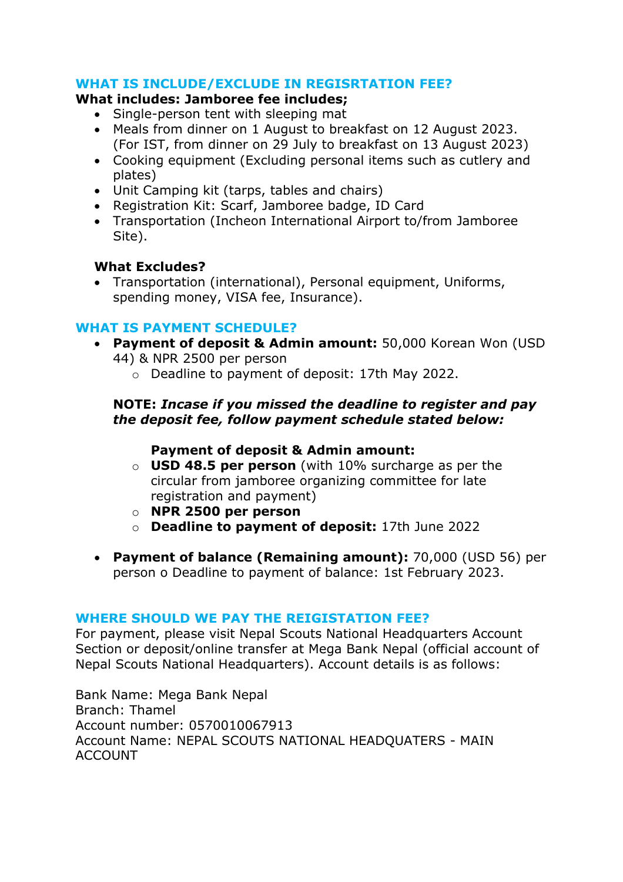# **WHAT IS INCLUDE/EXCLUDE IN REGISRTATION FEE?**

#### **What includes: Jamboree fee includes;**

- Single-person tent with sleeping mat
- Meals from dinner on 1 August to breakfast on 12 August 2023. (For IST, from dinner on 29 July to breakfast on 13 August 2023)
- Cooking equipment (Excluding personal items such as cutlery and plates)
- Unit Camping kit (tarps, tables and chairs)
- Registration Kit: Scarf, Jamboree badge, ID Card
- Transportation (Incheon International Airport to/from Jamboree Site).

#### **What Excludes?**

• Transportation (international), Personal equipment, Uniforms, spending money, VISA fee, Insurance).

#### **WHAT IS PAYMENT SCHEDULE?**

- **Payment of deposit & Admin amount:** 50,000 Korean Won (USD 44) & NPR 2500 per person
	- o Deadline to payment of deposit: 17th May 2022.

#### **NOTE:** *Incase if you missed the deadline to register and pay the deposit fee, follow payment schedule stated below:*

# **Payment of deposit & Admin amount:**

- o **USD 48.5 per person** (with 10% surcharge as per the circular from jamboree organizing committee for late registration and payment)
- o **NPR 2500 per person**
- o **Deadline to payment of deposit:** 17th June 2022
- **Payment of balance (Remaining amount):** 70,000 (USD 56) per person o Deadline to payment of balance: 1st February 2023.

#### **WHERE SHOULD WE PAY THE REIGISTATION FEE?**

For payment, please visit Nepal Scouts National Headquarters Account Section or deposit/online transfer at Mega Bank Nepal (official account of Nepal Scouts National Headquarters). Account details is as follows:

Bank Name: Mega Bank Nepal Branch: Thamel Account number: 0570010067913 Account Name: NEPAL SCOUTS NATIONAL HEADQUATERS - MAIN ACCOUNT